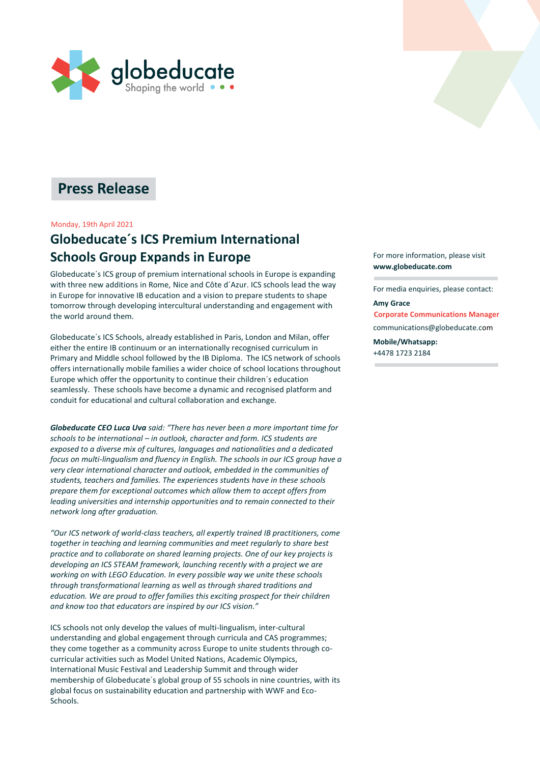

# **Press Release**

### Monday, 19th April 2021

## **Globeducate´s ICS Premium International Schools Group Expands in Europe**

Globeducate´s ICS group of premium international schools in Europe is expanding with three new additions in Rome, Nice and Côte d´Azur. ICS schools lead the way in Europe for innovative IB education and a vision to prepare students to shape tomorrow through developing intercultural understanding and engagement with the world around them.

Globeducate´s ICS Schools, already established in Paris, London and Milan, offer either the entire IB continuum or an internationally recognised curriculum in Primary and Middle school followed by the IB Diploma. The ICS network of schools offers internationally mobile families a wider choice of school locations throughout Europe which offer the opportunity to continue their children´s education seamlessly. These schools have become a dynamic and recognised platform and conduit for educational and cultural collaboration and exchange.

*Globeducate CEO Luca Uva said: "There has never been a more important time for schools to be international – in outlook, character and form. ICS students are exposed to a diverse mix of cultures, languages and nationalities and a dedicated focus on multi-lingualism and fluency in English. The schools in our ICS group have a very clear international character and outlook, embedded in the communities of students, teachers and families. The experiences students have in these schools prepare them for exceptional outcomes which allow them to accept offers from leading universities and internship opportunities and to remain connected to their network long after graduation.* 

*"Our ICS network of world-class teachers, all expertly trained IB practitioners, come together in teaching and learning communities and meet regularly to share best practice and to collaborate on shared learning projects. One of our key projects is developing an ICS STEAM framework, launching recently with a project we are working on with LEGO Education. In every possible way we unite these schools through transformational learning as well as through shared traditions and education. We are proud to offer families this exciting prospect for their children and know too that educators are inspired by our ICS vision."*

ICS schools not only develop the values of multi-lingualism, inter-cultural understanding and global engagement through curricula and CAS programmes; they come together as a community across Europe to unite students through cocurricular activities such as Model United Nations, Academic Olympics, International Music Festival and Leadership Summit and through wider membership of Globeducate´s global group of 55 schools in nine countries, with its global focus on sustainability education and partnership with WWF and Eco-Schools.

For more information, please visit **[www.globeducate.com](http://www.globeducate.com/)**

For media enquiries, please contact:

### **Amy Grace**

**Corporate Communications Manager** [communications@](mailto:amy.grace@gbte.net)[globeducate.co](mailto:amy.grace@globeducate.net)m **Mobile/Whatsapp:**

+4478 1723 2184